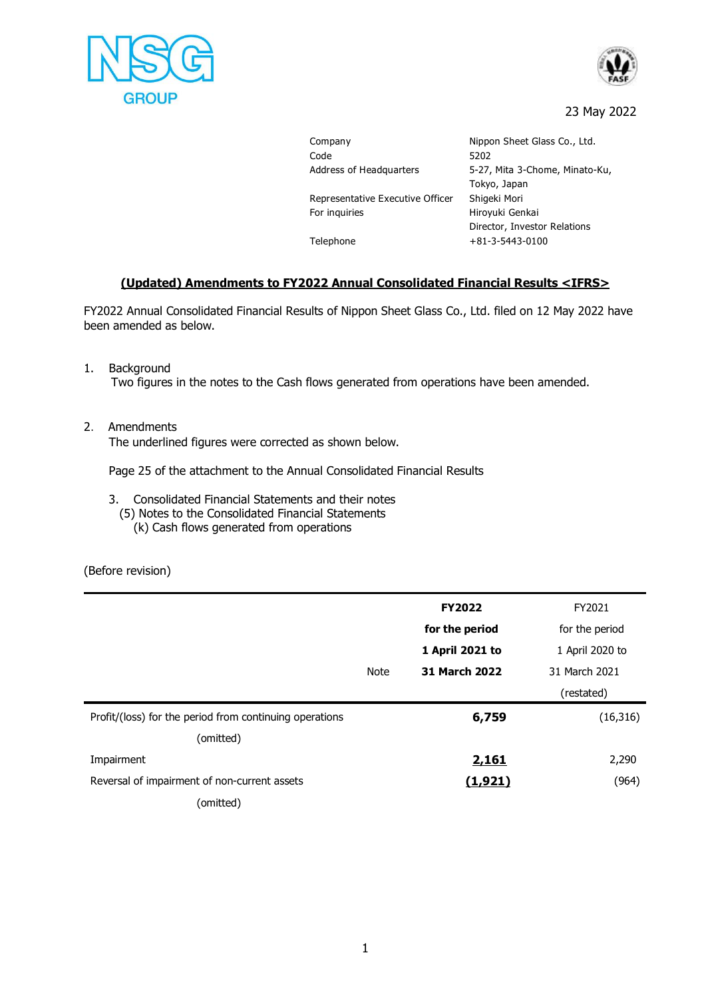



## 23 May 2022

Company Mippon Sheet Glass Co., Ltd. Code 5202 Address of Headquarters 5-27, Mita 3-Chome, Minato-Ku, Tokyo, Japan Representative Executive Officer Shigeki Mori For inquiries **Hiroyuki Genkai** Director, Investor Relations Telephone +81-3-5443-0100

## **(Updated) Amendments to FY2022 Annual Consolidated Financial Results <IFRS>**

FY2022 Annual Consolidated Financial Results of Nippon Sheet Glass Co., Ltd. filed on 12 May 2022 have been amended as below.

- 1. Background Two figures in the notes to the Cash flows generated from operations have been amended.
- 2. Amendments

The underlined figures were corrected as shown below.

Page 25 of the attachment to the Annual Consolidated Financial Results

- 3. Consolidated Financial Statements and their notes
	- (5) Notes to the Consolidated Financial Statements
		- (k) Cash flows generated from operations

(Before revision)

|                                                         |             | <b>FY2022</b>        | FY2021          |
|---------------------------------------------------------|-------------|----------------------|-----------------|
|                                                         |             | for the period       | for the period  |
|                                                         |             | 1 April 2021 to      | 1 April 2020 to |
|                                                         | <b>Note</b> | <b>31 March 2022</b> | 31 March 2021   |
|                                                         |             |                      | (restated)      |
| Profit/(loss) for the period from continuing operations |             | 6,759                | (16, 316)       |
| (omitted)                                               |             |                      |                 |
| Impairment                                              |             | <u>2,161</u>         | 2,290           |
| Reversal of impairment of non-current assets            |             | (1, 921)             | (964)           |
| (omitted)                                               |             |                      |                 |